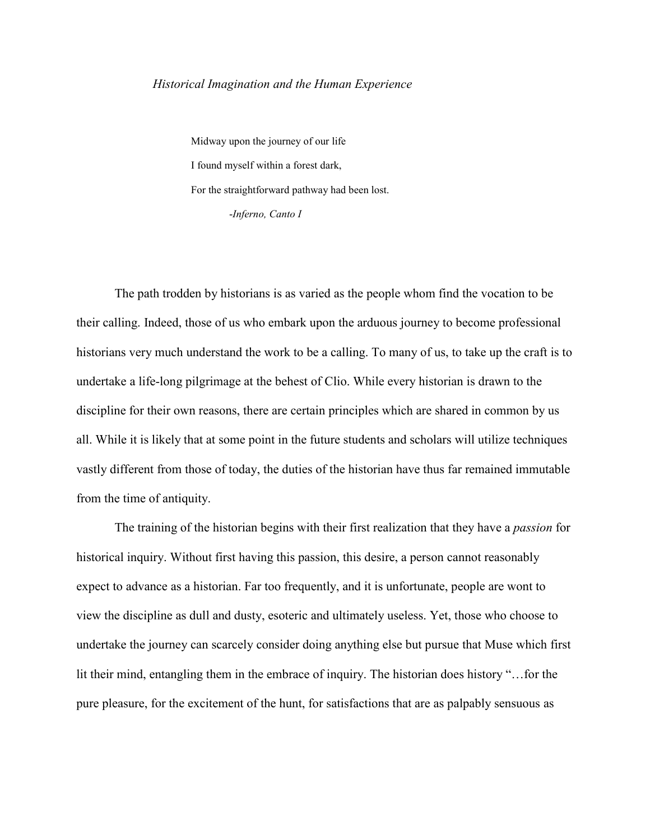## *Historical Imagination and the Human Experience*

Midway upon the journey of our life I found myself within a forest dark, For the straightforward pathway had been lost. -*Inferno, Canto I*

The path trodden by historians is as varied as the people whom find the vocation to be their calling. Indeed, those of us who embark upon the arduous journey to become professional historians very much understand the work to be a calling. To many of us, to take up the craft is to undertake a life-long pilgrimage at the behest of Clio. While every historian is drawn to the discipline for their own reasons, there are certain principles which are shared in common by us all. While it is likely that at some point in the future students and scholars will utilize techniques vastly different from those of today, the duties of the historian have thus far remained immutable from the time of antiquity.

The training of the historian begins with their first realization that they have a *passion* for historical inquiry. Without first having this passion, this desire, a person cannot reasonably expect to advance as a historian. Far too frequently, and it is unfortunate, people are wont to view the discipline as dull and dusty, esoteric and ultimately useless. Yet, those who choose to undertake the journey can scarcely consider doing anything else but pursue that Muse which first lit their mind, entangling them in the embrace of inquiry. The historian does history "…for the pure pleasure, for the excitement of the hunt, for satisfactions that are as palpably sensuous as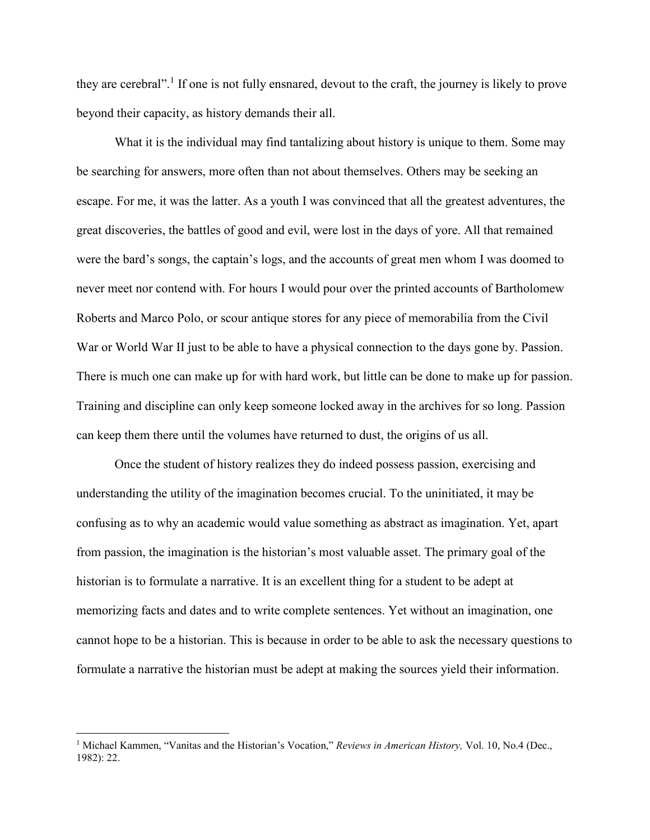they are cerebral".<sup>1</sup> If one is not fully ensnared, devout to the craft, the journey is likely to prove beyond their capacity, as history demands their all.

What it is the individual may find tantalizing about history is unique to them. Some may be searching for answers, more often than not about themselves. Others may be seeking an escape. For me, it was the latter. As a youth I was convinced that all the greatest adventures, the great discoveries, the battles of good and evil, were lost in the days of yore. All that remained were the bard's songs, the captain's logs, and the accounts of great men whom I was doomed to never meet nor contend with. For hours I would pour over the printed accounts of Bartholomew Roberts and Marco Polo, or scour antique stores for any piece of memorabilia from the Civil War or World War II just to be able to have a physical connection to the days gone by. Passion. There is much one can make up for with hard work, but little can be done to make up for passion. Training and discipline can only keep someone locked away in the archives for so long. Passion can keep them there until the volumes have returned to dust, the origins of us all.

Once the student of history realizes they do indeed possess passion, exercising and understanding the utility of the imagination becomes crucial. To the uninitiated, it may be confusing as to why an academic would value something as abstract as imagination. Yet, apart from passion, the imagination is the historian's most valuable asset. The primary goal of the historian is to formulate a narrative. It is an excellent thing for a student to be adept at memorizing facts and dates and to write complete sentences. Yet without an imagination, one cannot hope to be a historian. This is because in order to be able to ask the necessary questions to formulate a narrative the historian must be adept at making the sources yield their information.

<sup>1</sup> Michael Kammen, "Vanitas and the Historian's Vocation," *Reviews in American History,* Vol. 10, No.4 (Dec., 1982): 22.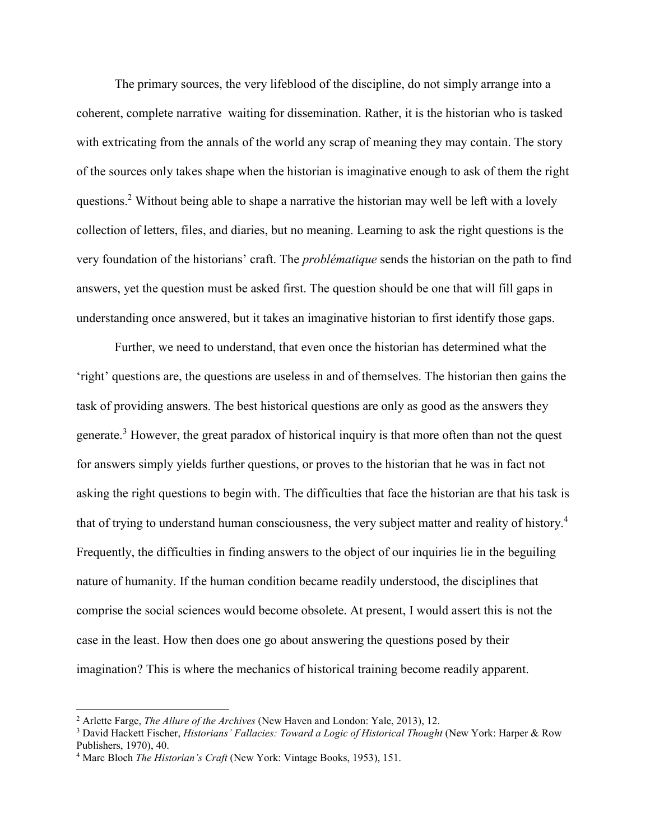The primary sources, the very lifeblood of the discipline, do not simply arrange into a coherent, complete narrative waiting for dissemination. Rather, it is the historian who is tasked with extricating from the annals of the world any scrap of meaning they may contain. The story of the sources only takes shape when the historian is imaginative enough to ask of them the right questions.<sup>2</sup> Without being able to shape a narrative the historian may well be left with a lovely collection of letters, files, and diaries, but no meaning. Learning to ask the right questions is the very foundation of the historians' craft. The *problématique* sends the historian on the path to find answers, yet the question must be asked first. The question should be one that will fill gaps in understanding once answered, but it takes an imaginative historian to first identify those gaps.

Further, we need to understand, that even once the historian has determined what the 'right' questions are, the questions are useless in and of themselves. The historian then gains the task of providing answers. The best historical questions are only as good as the answers they generate.<sup>3</sup> However, the great paradox of historical inquiry is that more often than not the quest for answers simply yields further questions, or proves to the historian that he was in fact not asking the right questions to begin with. The difficulties that face the historian are that his task is that of trying to understand human consciousness, the very subject matter and reality of history.<sup>4</sup> Frequently, the difficulties in finding answers to the object of our inquiries lie in the beguiling nature of humanity. If the human condition became readily understood, the disciplines that comprise the social sciences would become obsolete. At present, I would assert this is not the case in the least. How then does one go about answering the questions posed by their imagination? This is where the mechanics of historical training become readily apparent.

<sup>&</sup>lt;sup>2</sup> Arlette Farge, *The Allure of the Archives* (New Haven and London: Yale, 2013), 12.<br><sup>3</sup> David Hackett Fischer, *Historians' Fallacies: Toward a Logic of Historical Thought* (New York: Harper & Row Publishers, 1970), 40.

<sup>4</sup> Marc Bloch *The Historian's Craft* (New York: Vintage Books, 1953), 151.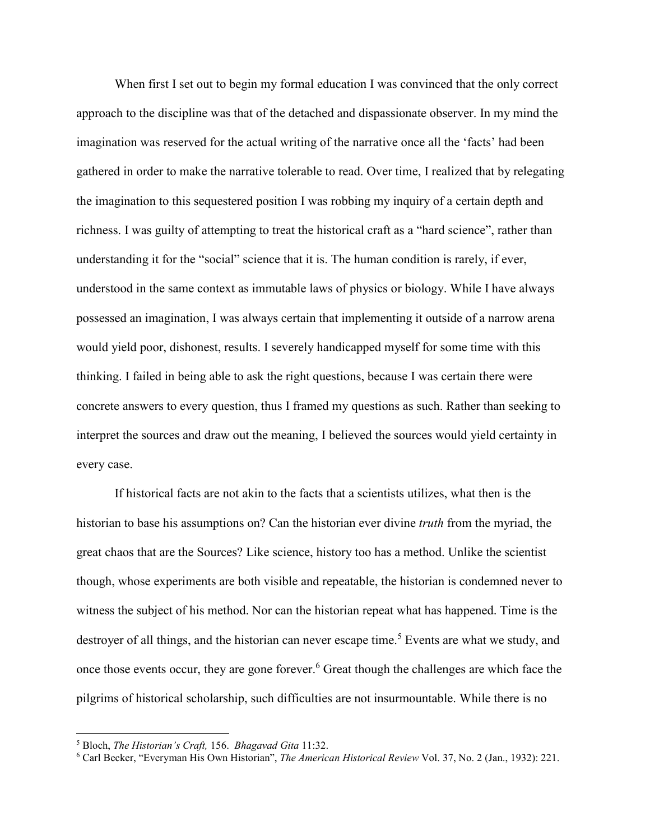When first I set out to begin my formal education I was convinced that the only correct approach to the discipline was that of the detached and dispassionate observer. In my mind the imagination was reserved for the actual writing of the narrative once all the 'facts' had been gathered in order to make the narrative tolerable to read. Over time, I realized that by relegating the imagination to this sequestered position I was robbing my inquiry of a certain depth and richness. I was guilty of attempting to treat the historical craft as a "hard science", rather than understanding it for the "social" science that it is. The human condition is rarely, if ever, understood in the same context as immutable laws of physics or biology. While I have always possessed an imagination, I was always certain that implementing it outside of a narrow arena would yield poor, dishonest, results. I severely handicapped myself for some time with this thinking. I failed in being able to ask the right questions, because I was certain there were concrete answers to every question, thus I framed my questions as such. Rather than seeking to interpret the sources and draw out the meaning, I believed the sources would yield certainty in every case.

If historical facts are not akin to the facts that a scientists utilizes, what then is the historian to base his assumptions on? Can the historian ever divine *truth* from the myriad, the great chaos that are the Sources? Like science, history too has a method. Unlike the scientist though, whose experiments are both visible and repeatable, the historian is condemned never to witness the subject of his method. Nor can the historian repeat what has happened. Time is the destroyer of all things, and the historian can never escape time.<sup>5</sup> Events are what we study, and once those events occur, they are gone forever. <sup>6</sup> Great though the challenges are which face the pilgrims of historical scholarship, such difficulties are not insurmountable. While there is no

<sup>5</sup> Bloch, *The Historian's Craft,* 156. *Bhagavad Gita* 11:32. 6 Carl Becker, "Everyman His Own Historian", *The American Historical Review* Vol. 37, No. 2 (Jan., 1932): 221.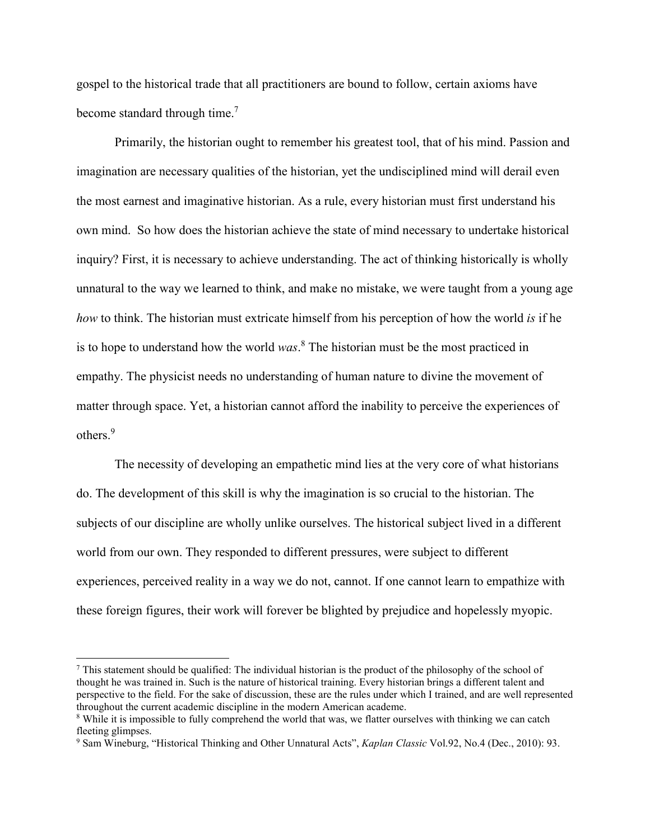gospel to the historical trade that all practitioners are bound to follow, certain axioms have become standard through time.<sup>7</sup>

Primarily, the historian ought to remember his greatest tool, that of his mind. Passion and imagination are necessary qualities of the historian, yet the undisciplined mind will derail even the most earnest and imaginative historian. As a rule, every historian must first understand his own mind. So how does the historian achieve the state of mind necessary to undertake historical inquiry? First, it is necessary to achieve understanding. The act of thinking historically is wholly unnatural to the way we learned to think, and make no mistake, we were taught from a young age *how* to think. The historian must extricate himself from his perception of how the world *is* if he is to hope to understand how the world *was*. <sup>8</sup> The historian must be the most practiced in empathy. The physicist needs no understanding of human nature to divine the movement of matter through space. Yet, a historian cannot afford the inability to perceive the experiences of others<sup>9</sup>

The necessity of developing an empathetic mind lies at the very core of what historians do. The development of this skill is why the imagination is so crucial to the historian. The subjects of our discipline are wholly unlike ourselves. The historical subject lived in a different world from our own. They responded to different pressures, were subject to different experiences, perceived reality in a way we do not, cannot. If one cannot learn to empathize with these foreign figures, their work will forever be blighted by prejudice and hopelessly myopic.

 $^7$  This statement should be qualified: The individual historian is the product of the philosophy of the school of thought he was trained in. Such is the nature of historical training. Every historian brings a different talent and perspective to the field. For the sake of discussion, these are the rules under which I trained, and are well represented throughout the current academic discipline in the modern American academe.

<sup>&</sup>lt;sup>8</sup> While it is impossible to fully comprehend the world that was, we flatter ourselves with thinking we can catch fleeting glimpses.

<sup>9</sup> Sam Wineburg, "Historical Thinking and Other Unnatural Acts", *Kaplan Classic* Vol.92, No.4 (Dec., 2010): 93.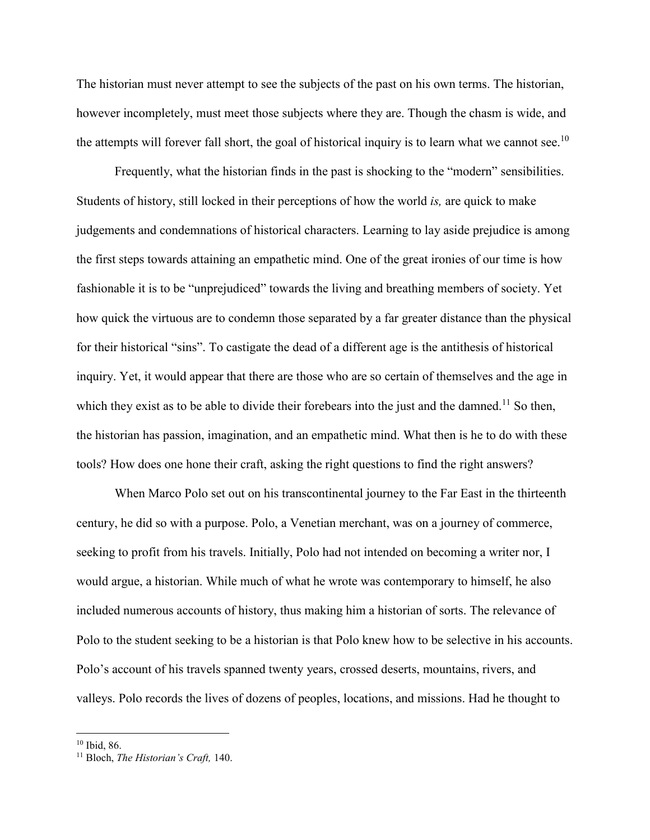The historian must never attempt to see the subjects of the past on his own terms. The historian, however incompletely, must meet those subjects where they are. Though the chasm is wide, and the attempts will forever fall short, the goal of historical inquiry is to learn what we cannot see.<sup>10</sup>

Frequently, what the historian finds in the past is shocking to the "modern" sensibilities. Students of history, still locked in their perceptions of how the world *is,* are quick to make judgements and condemnations of historical characters. Learning to lay aside prejudice is among the first steps towards attaining an empathetic mind. One of the great ironies of our time is how fashionable it is to be "unprejudiced" towards the living and breathing members of society. Yet how quick the virtuous are to condemn those separated by a far greater distance than the physical for their historical "sins". To castigate the dead of a different age is the antithesis of historical inquiry. Yet, it would appear that there are those who are so certain of themselves and the age in which they exist as to be able to divide their forebears into the just and the damned.<sup>11</sup> So then, the historian has passion, imagination, and an empathetic mind. What then is he to do with these tools? How does one hone their craft, asking the right questions to find the right answers?

When Marco Polo set out on his transcontinental journey to the Far East in the thirteenth century, he did so with a purpose. Polo, a Venetian merchant, was on a journey of commerce, seeking to profit from his travels. Initially, Polo had not intended on becoming a writer nor, I would argue, a historian. While much of what he wrote was contemporary to himself, he also included numerous accounts of history, thus making him a historian of sorts. The relevance of Polo to the student seeking to be a historian is that Polo knew how to be selective in his accounts. Polo's account of his travels spanned twenty years, crossed deserts, mountains, rivers, and valleys. Polo records the lives of dozens of peoples, locations, and missions. Had he thought to

<sup>10</sup> Ibid, 86. 11 Bloch, *The Historian's Craft,* 140.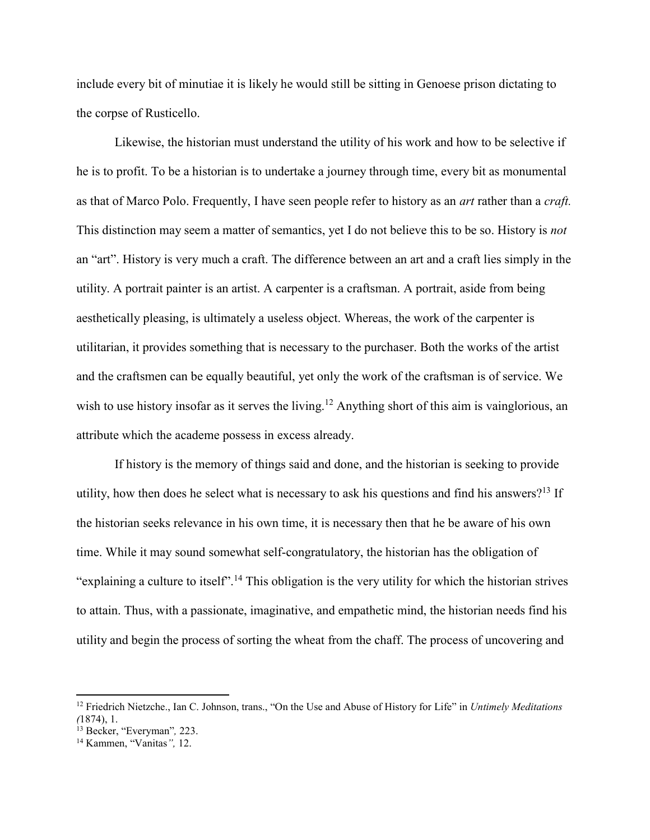include every bit of minutiae it is likely he would still be sitting in Genoese prison dictating to the corpse of Rusticello.

Likewise, the historian must understand the utility of his work and how to be selective if he is to profit. To be a historian is to undertake a journey through time, every bit as monumental as that of Marco Polo. Frequently, I have seen people refer to history as an *art* rather than a *craft.*  This distinction may seem a matter of semantics, yet I do not believe this to be so. History is *not*  an "art". History is very much a craft. The difference between an art and a craft lies simply in the utility. A portrait painter is an artist. A carpenter is a craftsman. A portrait, aside from being aesthetically pleasing, is ultimately a useless object. Whereas, the work of the carpenter is utilitarian, it provides something that is necessary to the purchaser. Both the works of the artist and the craftsmen can be equally beautiful, yet only the work of the craftsman is of service. We wish to use history insofar as it serves the living.<sup>12</sup> Anything short of this aim is vainglorious, an attribute which the academe possess in excess already.

If history is the memory of things said and done, and the historian is seeking to provide utility, how then does he select what is necessary to ask his questions and find his answers?<sup>13</sup> If the historian seeks relevance in his own time, it is necessary then that he be aware of his own time. While it may sound somewhat self-congratulatory, the historian has the obligation of "explaining a culture to itself".<sup>14</sup> This obligation is the very utility for which the historian strives to attain. Thus, with a passionate, imaginative, and empathetic mind, the historian needs find his utility and begin the process of sorting the wheat from the chaff. The process of uncovering and

 $\overline{\phantom{a}}$ 

<sup>12</sup> Friedrich Nietzche., Ian C. Johnson, trans., "On the Use and Abuse of History for Life" in *Untimely Meditations (*1874), 1.

<sup>13</sup> Becker, "Everyman"*,* 223. 14 Kammen, "Vanitas*",* 12.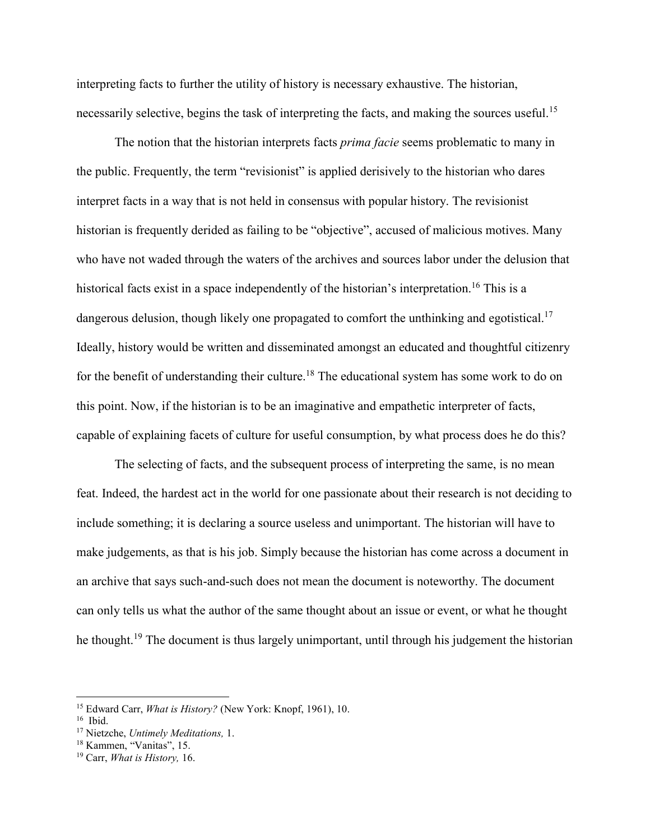interpreting facts to further the utility of history is necessary exhaustive. The historian, necessarily selective, begins the task of interpreting the facts, and making the sources useful.<sup>15</sup>

The notion that the historian interprets facts *prima facie* seems problematic to many in the public. Frequently, the term "revisionist" is applied derisively to the historian who dares interpret facts in a way that is not held in consensus with popular history. The revisionist historian is frequently derided as failing to be "objective", accused of malicious motives. Many who have not waded through the waters of the archives and sources labor under the delusion that historical facts exist in a space independently of the historian's interpretation.<sup>16</sup> This is a dangerous delusion, though likely one propagated to comfort the unthinking and egotistical.<sup>17</sup> Ideally, history would be written and disseminated amongst an educated and thoughtful citizenry for the benefit of understanding their culture.<sup>18</sup> The educational system has some work to do on this point. Now, if the historian is to be an imaginative and empathetic interpreter of facts, capable of explaining facets of culture for useful consumption, by what process does he do this?

The selecting of facts, and the subsequent process of interpreting the same, is no mean feat. Indeed, the hardest act in the world for one passionate about their research is not deciding to include something; it is declaring a source useless and unimportant. The historian will have to make judgements, as that is his job. Simply because the historian has come across a document in an archive that says such-and-such does not mean the document is noteworthy. The document can only tells us what the author of the same thought about an issue or event, or what he thought he thought.<sup>19</sup> The document is thus largely unimportant, until through his judgement the historian

 $\overline{\phantom{a}}$ 

<sup>&</sup>lt;sup>15</sup> Edward Carr, *What is History?* (New York: Knopf, 1961), 10.<br><sup>16</sup> Ibid.<br><sup>17</sup> Nietzche, *Untimely Meditations*, 1.<br><sup>18</sup> Kammen, "Vanitas", 15.<br><sup>19</sup> Carr, *What is History*, 16.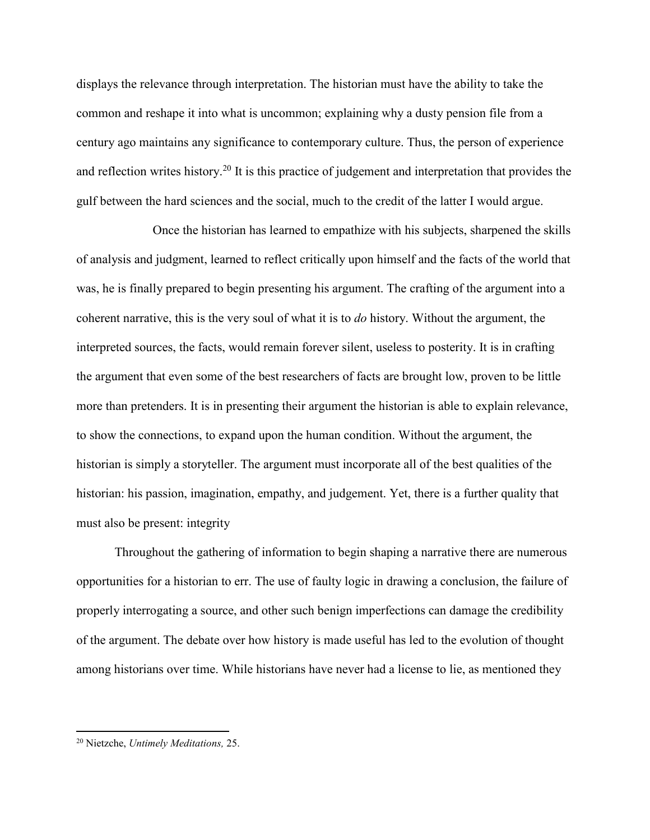displays the relevance through interpretation. The historian must have the ability to take the common and reshape it into what is uncommon; explaining why a dusty pension file from a century ago maintains any significance to contemporary culture. Thus, the person of experience and reflection writes history.<sup>20</sup> It is this practice of judgement and interpretation that provides the gulf between the hard sciences and the social, much to the credit of the latter I would argue.

Once the historian has learned to empathize with his subjects, sharpened the skills of analysis and judgment, learned to reflect critically upon himself and the facts of the world that was, he is finally prepared to begin presenting his argument. The crafting of the argument into a coherent narrative, this is the very soul of what it is to *do* history. Without the argument, the interpreted sources, the facts, would remain forever silent, useless to posterity. It is in crafting the argument that even some of the best researchers of facts are brought low, proven to be little more than pretenders. It is in presenting their argument the historian is able to explain relevance, to show the connections, to expand upon the human condition. Without the argument, the historian is simply a storyteller. The argument must incorporate all of the best qualities of the historian: his passion, imagination, empathy, and judgement. Yet, there is a further quality that must also be present: integrity

Throughout the gathering of information to begin shaping a narrative there are numerous opportunities for a historian to err. The use of faulty logic in drawing a conclusion, the failure of properly interrogating a source, and other such benign imperfections can damage the credibility of the argument. The debate over how history is made useful has led to the evolution of thought among historians over time. While historians have never had a license to lie, as mentioned they

<sup>20</sup> Nietzche, *Untimely Meditations,* 25.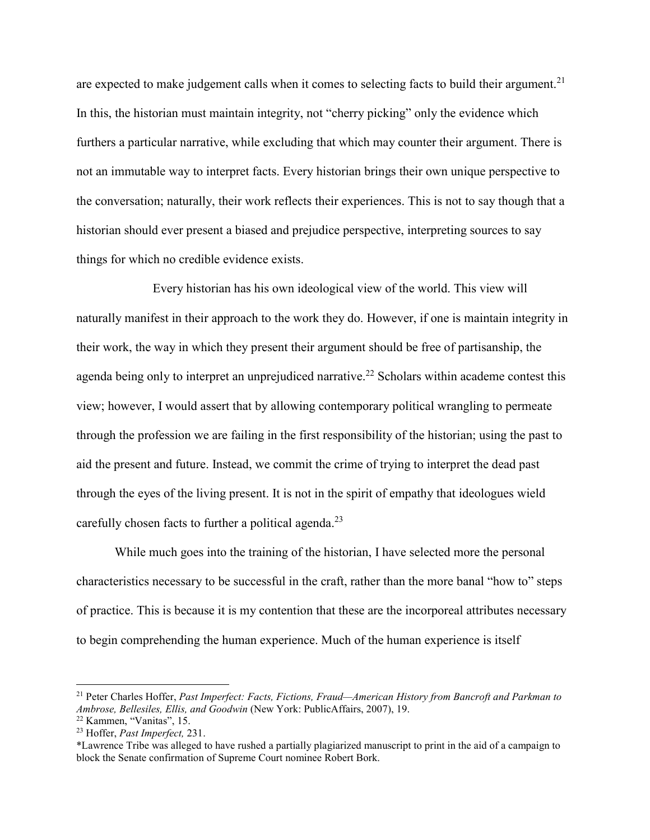are expected to make judgement calls when it comes to selecting facts to build their argument.<sup>21</sup> In this, the historian must maintain integrity, not "cherry picking" only the evidence which furthers a particular narrative, while excluding that which may counter their argument. There is not an immutable way to interpret facts. Every historian brings their own unique perspective to the conversation; naturally, their work reflects their experiences. This is not to say though that a historian should ever present a biased and prejudice perspective, interpreting sources to say things for which no credible evidence exists.

Every historian has his own ideological view of the world. This view will naturally manifest in their approach to the work they do. However, if one is maintain integrity in their work, the way in which they present their argument should be free of partisanship, the agenda being only to interpret an unprejudiced narrative.<sup>22</sup> Scholars within academe contest this view; however, I would assert that by allowing contemporary political wrangling to permeate through the profession we are failing in the first responsibility of the historian; using the past to aid the present and future. Instead, we commit the crime of trying to interpret the dead past through the eyes of the living present. It is not in the spirit of empathy that ideologues wield carefully chosen facts to further a political agenda.<sup>23</sup>

While much goes into the training of the historian, I have selected more the personal characteristics necessary to be successful in the craft, rather than the more banal "how to" steps of practice. This is because it is my contention that these are the incorporeal attributes necessary to begin comprehending the human experience. Much of the human experience is itself

 $\overline{a}$ 

<sup>21</sup> Peter Charles Hoffer, *Past Imperfect: Facts, Fictions, Fraud—American History from Bancroft and Parkman to Ambrose, Bellesiles, Ellis, and Goodwin* (New York: PublicAffairs, 2007), 19. 22 Kammen, "Vanitas", 15. 23 Hoffer, *Past Imperfect,* 231.

<sup>\*</sup>Lawrence Tribe was alleged to have rushed a partially plagiarized manuscript to print in the aid of a campaign to block the Senate confirmation of Supreme Court nominee Robert Bork.